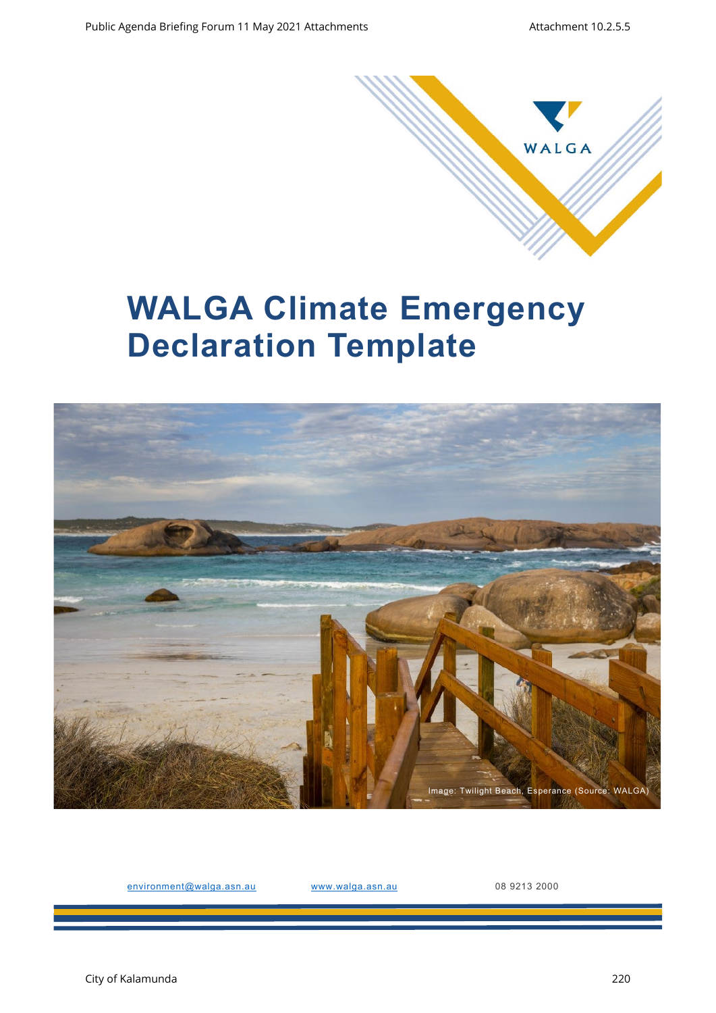

# **WALGA Climate Emergency Declaration Template**



environment@walga.asn.au www.walga.asn.au 08 9213 2000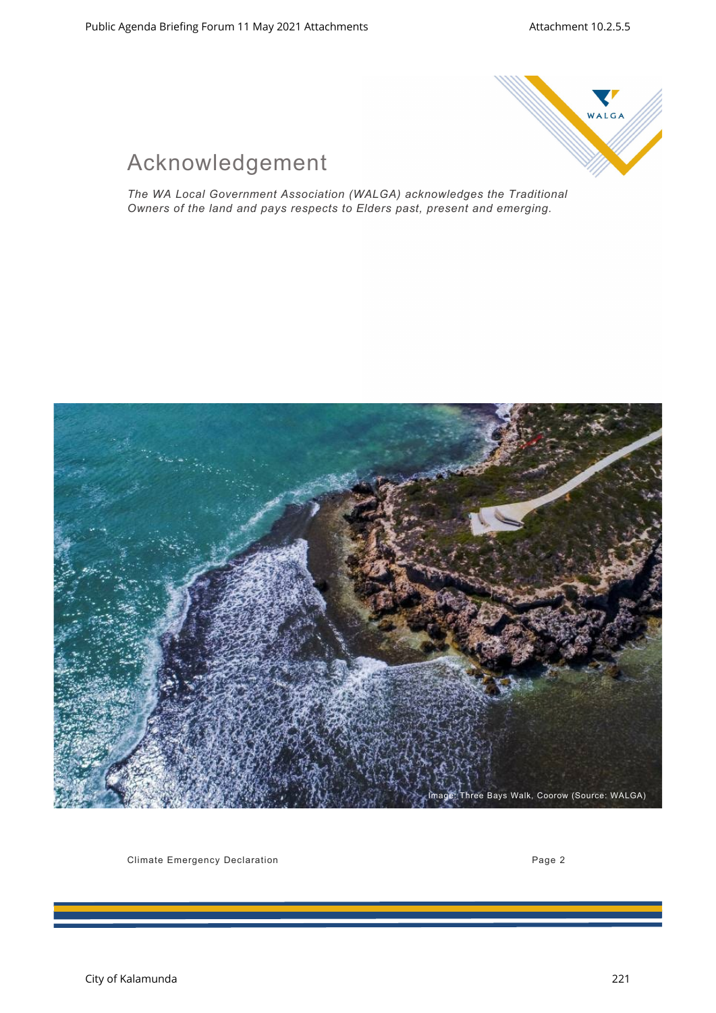

## Acknowledgement

*The WA Local Government Association (WALGA) acknowledges the Traditional Owners of the land and pays respects to Elders past, present and emerging.* 



Climate Emergency Declaration **Page 2** and 2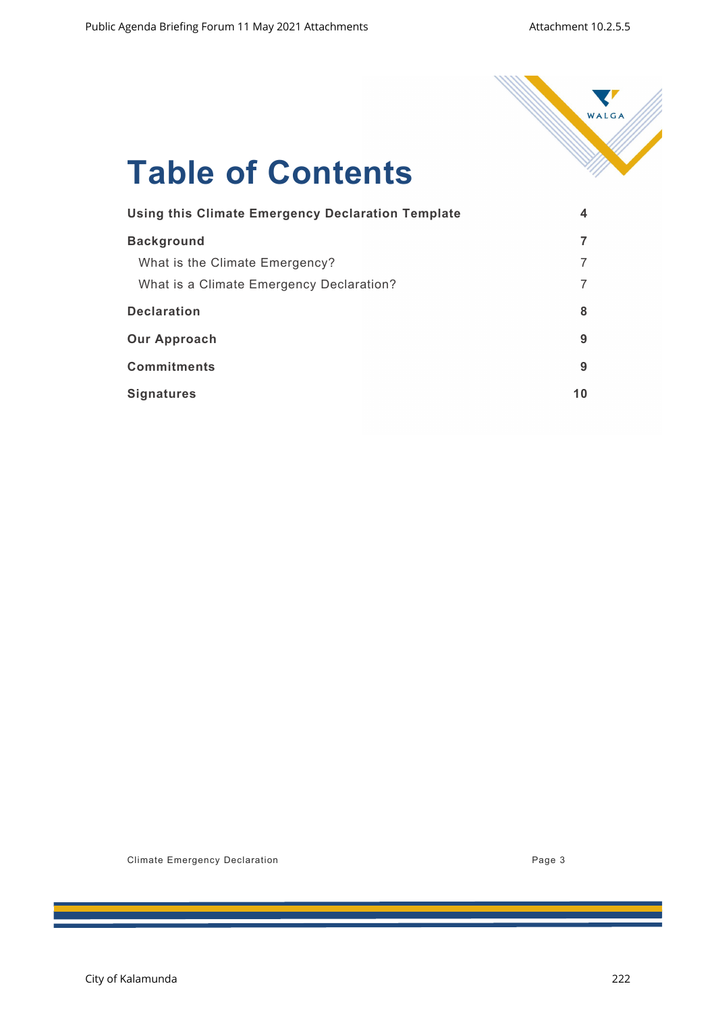

# **Table of Contents**

| <b>Using this Climate Emergency Declaration Template</b> | 4  |
|----------------------------------------------------------|----|
| <b>Background</b>                                        |    |
| What is the Climate Emergency?                           |    |
| What is a Climate Emergency Declaration?                 |    |
| <b>Declaration</b>                                       | 8  |
| <b>Our Approach</b>                                      | 9  |
| <b>Commitments</b>                                       | 9  |
| <b>Signatures</b>                                        | 10 |

Climate Emergency Declaration **Page 3**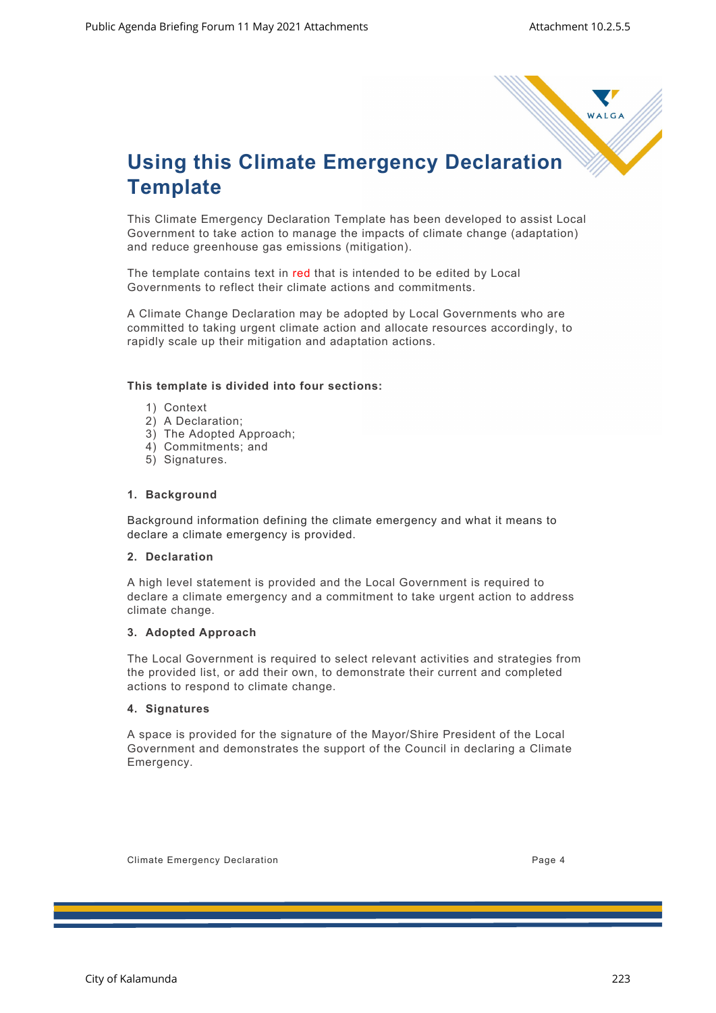

## **Using this Climate Emergency Declaration Template**

This Climate Emergency Declaration Template has been developed to assist Local Government to take action to manage the impacts of climate change (adaptation) and reduce greenhouse gas emissions (mitigation).

The template contains text in red that is intended to be edited by Local Governments to reflect their climate actions and commitments.

A Climate Change Declaration may be adopted by Local Governments who are committed to taking urgent climate action and allocate resources accordingly, to rapidly scale up their mitigation and adaptation actions.

### **This template is divided into four sections:**

- 1) Context
- 2) A Declaration;
- 3) The Adopted Approach;
- 4) Commitments; and
- 5) Signatures.

### **1. Background**

Background information defining the climate emergency and what it means to declare a climate emergency is provided.

### **2. Declaration**

A high level statement is provided and the Local Government is required to declare a climate emergency and a commitment to take urgent action to address climate change.

### **3. Adopted Approach**

The Local Government is required to select relevant activities and strategies from the provided list, or add their own, to demonstrate their current and completed actions to respond to climate change.

### **4. Signatures**

A space is provided for the signature of the Mayor/Shire President of the Local Government and demonstrates the support of the Council in declaring a Climate Emergency.

Climate Emergency Declaration **Page 4** and the Climate Service of Page 4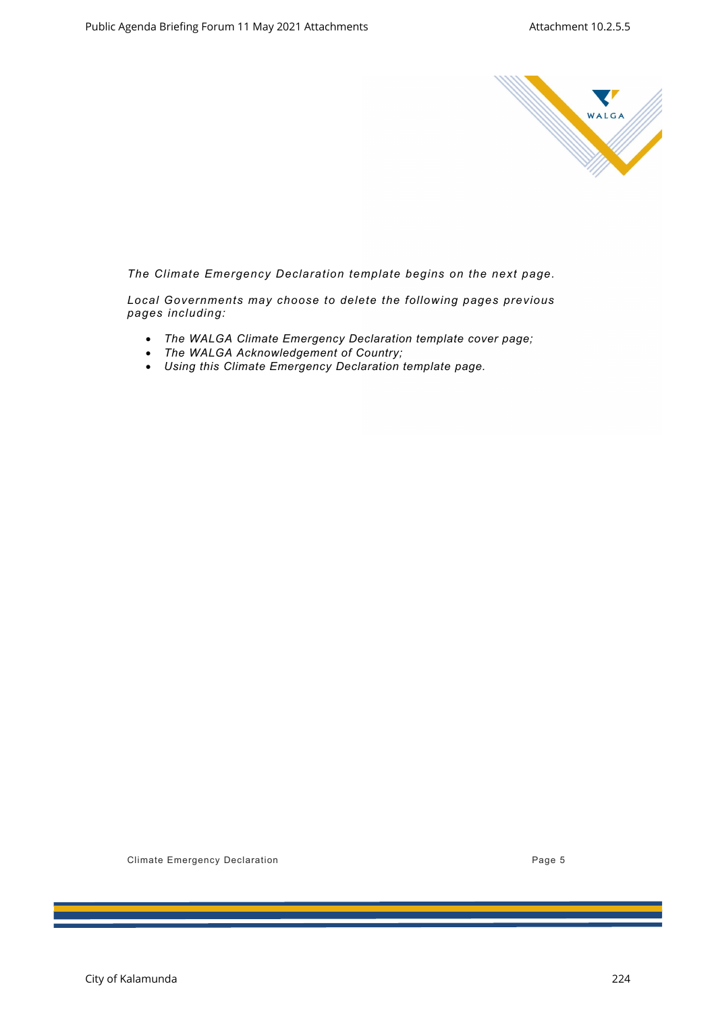

*The Climate Emergency Declaration template begins on the next page.*

*Local Governments may choose to delete the following pages previous pages including:*

- *The WALGA Climate Emergency Declaration template cover page;*
- *The WALGA Acknowledgement of Country;*
- *Using this Climate Emergency Declaration template page.*

Climate Emergency Declaration **Page 5** Climate Emergency Declaration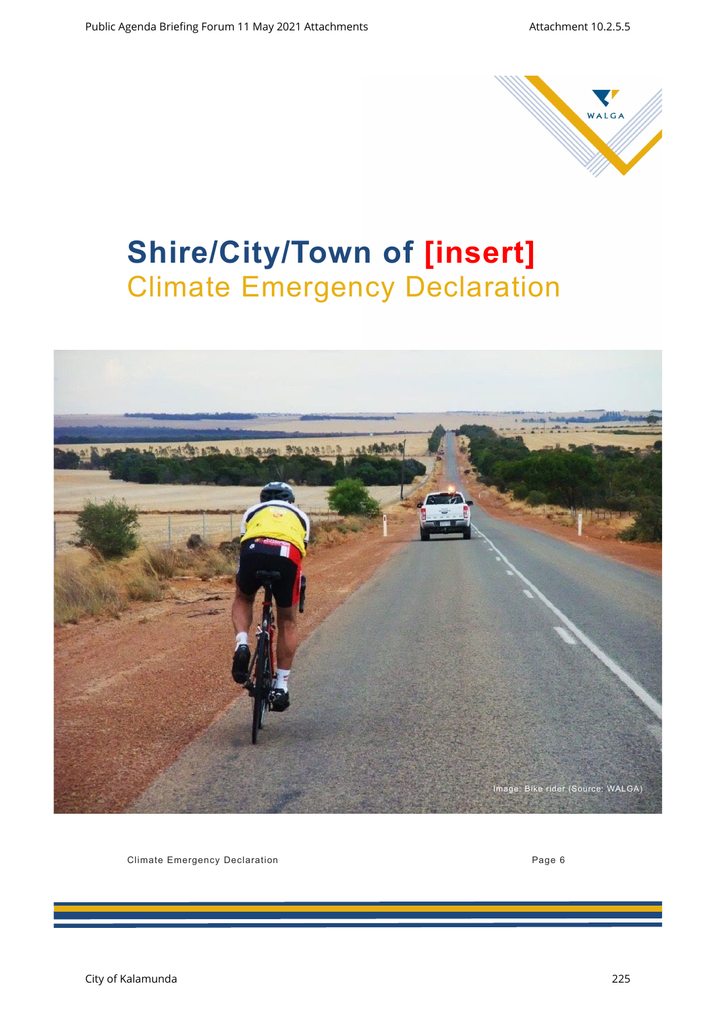

## **Shire/City/Town of [insert]**  Climate Emergency Declaration



Climate Emergency Declaration **Page 6** Climate Emergency Declaration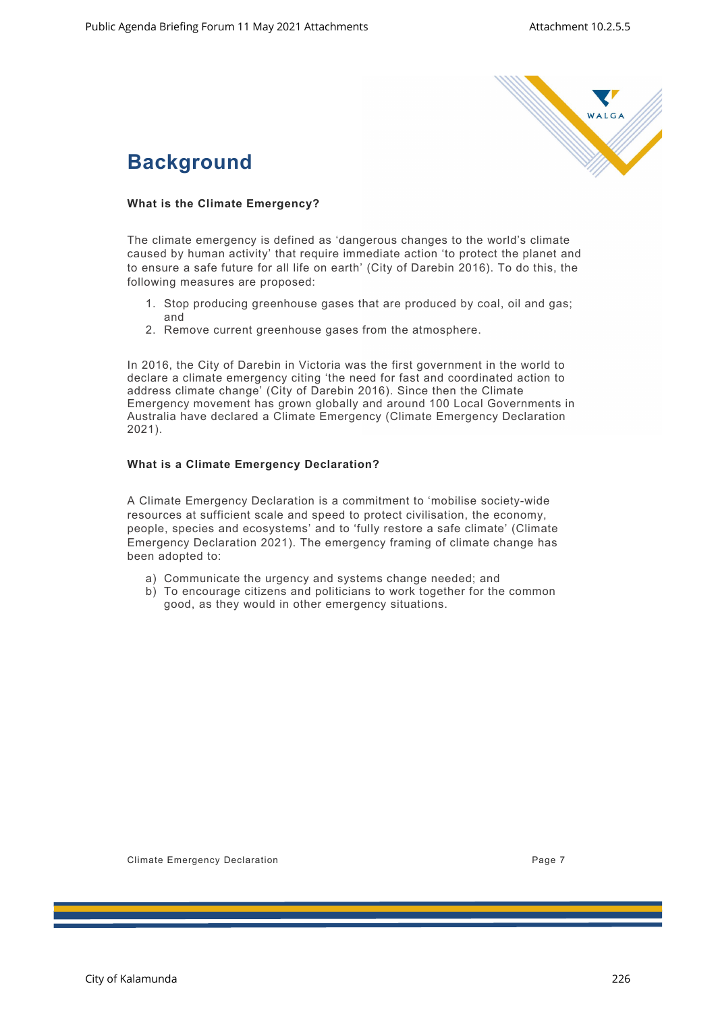

### **Background**

### **What is the Climate Emergency?**

The climate emergency is defined as 'dangerous changes to the world's climate caused by human activity' that require immediate action 'to protect the planet and to ensure a safe future for all life on earth' (City of Darebin 2016). To do this, the following measures are proposed:

- 1. Stop producing greenhouse gases that are produced by coal, oil and gas; and
- 2. Remove current greenhouse gases from the atmosphere.

In 2016, the City of Darebin in Victoria was the first government in the world to declare a climate emergency citing 'the need for fast and coordinated action to address climate change' (City of Darebin 2016). Since then the Climate Emergency movement has grown globally and around 100 Local Governments in Australia have declared a Climate Emergency (Climate Emergency Declaration 2021).

### **What is a Climate Emergency Declaration?**

A Climate Emergency Declaration is a commitment to 'mobilise society-wide resources at sufficient scale and speed to protect civilisation, the economy, people, species and ecosystems' and to 'fully restore a safe climate' (Climate Emergency Declaration 2021). The emergency framing of climate change has been adopted to:

- a) Communicate the urgency and systems change needed; and
- b) To encourage citizens and politicians to work together for the common good, as they would in other emergency situations.

Climate Emergency Declaration **Page 7** 2014 12:30 2014 12:30 2014 12:30 2014 12:30 2014 12:30 2014 12:30 2014 12:30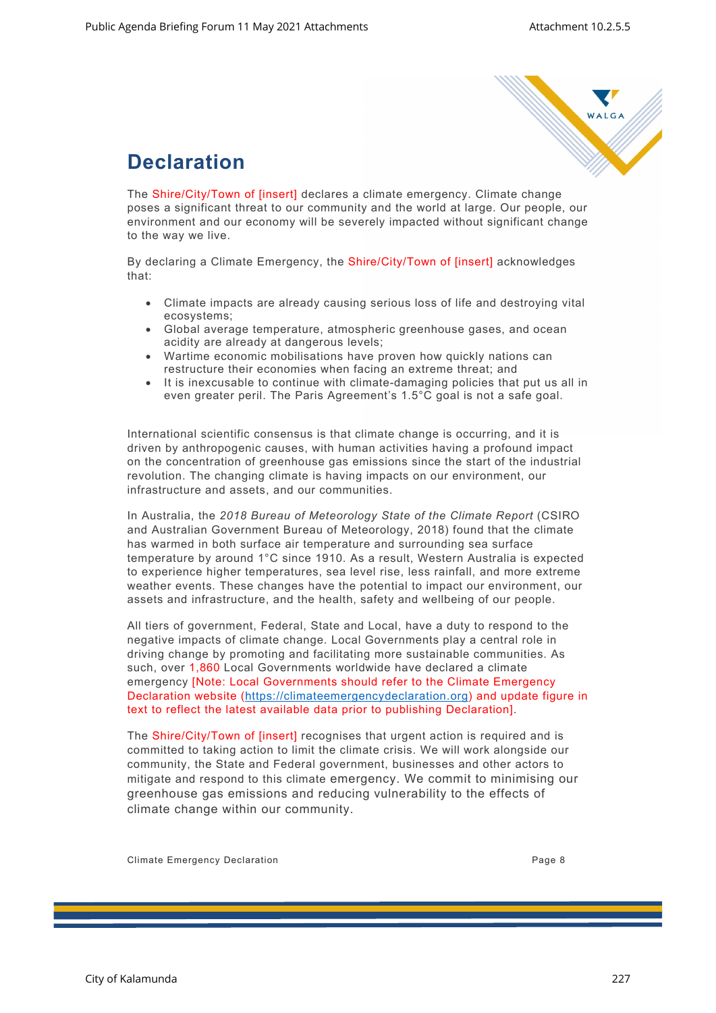

### **Declaration**

The Shire/City/Town of [insert] declares a climate emergency. Climate change poses a significant threat to our community and the world at large. Our people, our environment and our economy will be severely impacted without significant change to the way we live.

By declaring a Climate Emergency, the Shire/City/Town of [insert] acknowledges that:

- Climate impacts are already causing serious loss of life and destroying vital ecosystems;
- Global average temperature, atmospheric greenhouse gases, and ocean acidity are already at dangerous levels;
- Wartime economic mobilisations have proven how quickly nations can restructure their economies when facing an extreme threat; and
- It is inexcusable to continue with climate-damaging policies that put us all in even greater peril. The Paris Agreement's 1.5°C goal is not a safe goal.

International scientific consensus is that climate change is occurring, and it is driven by anthropogenic causes, with human activities having a profound impact on the concentration of greenhouse gas emissions since the start of the industrial revolution. The changing climate is having impacts on our environment, our infrastructure and assets, and our communities.

In Australia, the *2018 Bureau of Meteorology State of the Climate Report* (CSIRO and Australian Government Bureau of Meteorology, 2018) found that the climate has warmed in both surface air temperature and surrounding sea surface temperature by around 1°C since 1910. As a result, Western Australia is expected to experience higher temperatures, sea level rise, less rainfall, and more extreme weather events. These changes have the potential to impact our environment, our assets and infrastructure, and the health, safety and wellbeing of our people.

All tiers of government, Federal, State and Local, have a duty to respond to the negative impacts of climate change. Local Governments play a central role in driving change by promoting and facilitating more sustainable communities. As such, over 1,860 Local Governments worldwide have declared a climate emergency [Note: Local Governments should refer to the Climate Emergency Declaration website (https://climateemergencydeclaration.org) and update figure in text to reflect the latest available data prior to publishing Declaration].

The Shire/City/Town of [insert] recognises that urgent action is required and is committed to taking action to limit the climate crisis. We will work alongside our community, the State and Federal government, businesses and other actors to mitigate and respond to this climate emergency. We commit to minimising our greenhouse gas emissions and reducing vulnerability to the effects of climate change within our community.

Climate Emergency Declaration **Page 8** 2014 12:30 and 2014 12:30 and 2014 12:30 and 2014 12:30 and 2014 12:30 and 2014 12:30 and 2014 12:30 and 2014 12:30 and 2014 12:30 and 2014 12:30 and 2014 12:30 and 2014 12:30 and 201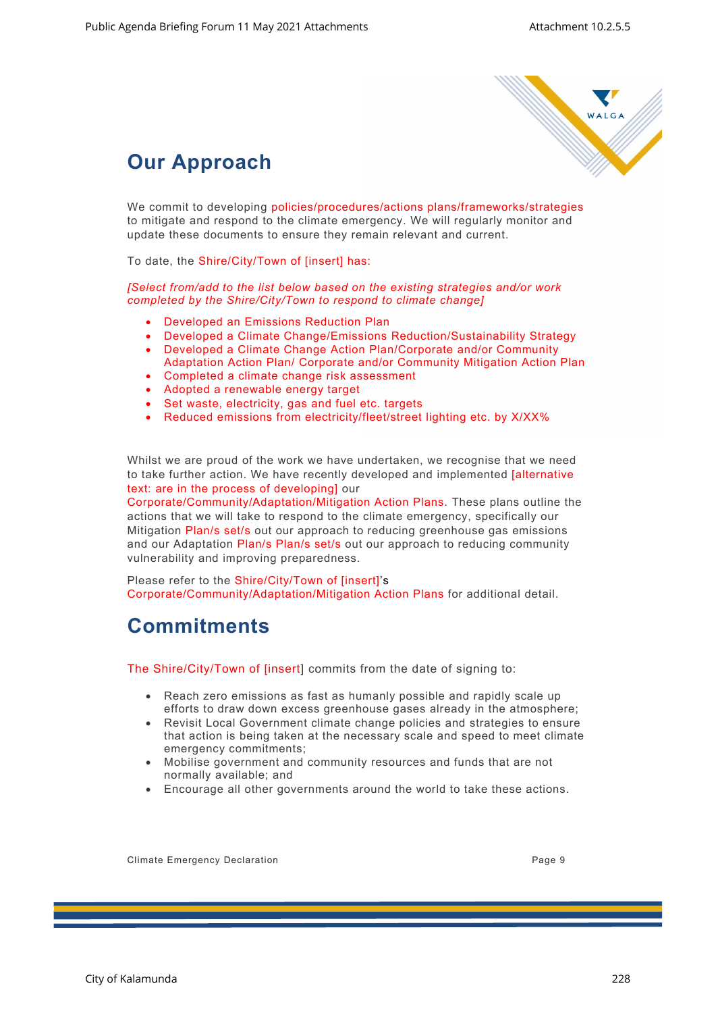

## **Our Approach**

We commit to developing policies/procedures/actions plans/frameworks/strategies to mitigate and respond to the climate emergency. We will regularly monitor and update these documents to ensure they remain relevant and current.

To date, the Shire/City/Town of [insert] has:

*[Select from/add to the list below based on the existing strategies and/or work completed by the Shire/City/Town to respond to climate change]*

- Developed an Emissions Reduction Plan
- Developed a Climate Change/Emissions Reduction/Sustainability Strategy
- Developed a Climate Change Action Plan/Corporate and/or Community
- Adaptation Action Plan/ Corporate and/or Community Mitigation Action Plan • Completed a climate change risk assessment
- Adopted a renewable energy target
- Set waste, electricity, gas and fuel etc. targets
- Reduced emissions from electricity/fleet/street lighting etc. by X/XX%

Whilst we are proud of the work we have undertaken, we recognise that we need to take further action. We have recently developed and implemented [alternative text: are in the process of developing] our

Corporate/Community/Adaptation/Mitigation Action Plans. These plans outline the actions that we will take to respond to the climate emergency, specifically our Mitigation Plan/s set/s out our approach to reducing greenhouse gas emissions and our Adaptation Plan/s Plan/s set/s out our approach to reducing community vulnerability and improving preparedness.

Please refer to the Shire/City/Town of [insert]'s Corporate/Community/Adaptation/Mitigation Action Plans for additional detail.

### **Commitments**

The Shire/City/Town of [insert] commits from the date of signing to:

- Reach zero emissions as fast as humanly possible and rapidly scale up efforts to draw down excess greenhouse gases already in the atmosphere;
- Revisit Local Government climate change policies and strategies to ensure that action is being taken at the necessary scale and speed to meet climate emergency commitments;
- Mobilise government and community resources and funds that are not normally available; and
- Encourage all other governments around the world to take these actions.

Climate Emergency Declaration **Page 9** 2014 12:30 and 2014 12:30 and 2014 12:30 and 2014 12:30 and 2014 12:30 and 2014 12:30 and 2014 12:30 and 2014 12:30 and 2014 12:30 and 2014 12:30 and 2014 12:30 and 2014 12:30 and 201